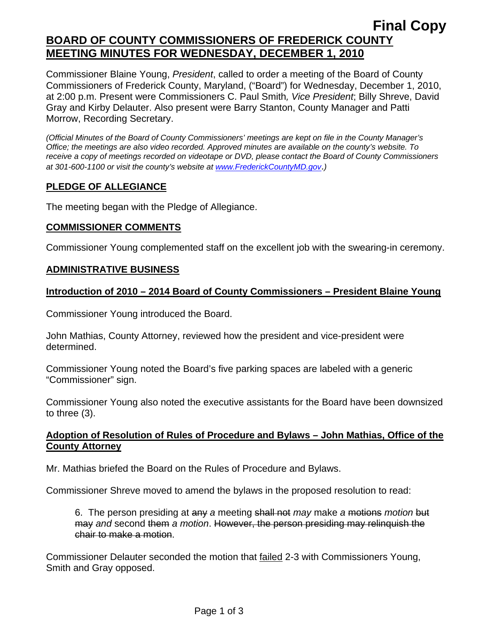# **Final Copy BOARD OF COUNTY COMMISSIONERS OF FREDERICK COUNTY MEETING MINUTES FOR WEDNESDAY, DECEMBER 1, 2010**

Commissioner Blaine Young, *President*, called to order a meeting of the Board of County Commissioners of Frederick County, Maryland, ("Board") for Wednesday, December 1, 2010, at 2:00 p.m. Present were Commissioners C. Paul Smith*, Vice President*; Billy Shreve, David Gray and Kirby Delauter. Also present were Barry Stanton, County Manager and Patti Morrow, Recording Secretary.

*(Official Minutes of the Board of County Commissioners' meetings are kept on file in the County Manager's Office; the meetings are also video recorded. Approved minutes are available on the county's website. To receive a copy of meetings recorded on videotape or DVD, please contact the Board of County Commissioners at 301-600-1100 or visit the county's website at [www.FrederickCountyMD.gov](http://www.frederickcountymd.gov/)*.*)* 

## **PLEDGE OF ALLEGIANCE**

The meeting began with the Pledge of Allegiance.

### **COMMISSIONER COMMENTS**

Commissioner Young complemented staff on the excellent job with the swearing-in ceremony.

### **ADMINISTRATIVE BUSINESS**

### **Introduction of 2010 – 2014 Board of County Commissioners – President Blaine Young**

Commissioner Young introduced the Board.

John Mathias, County Attorney, reviewed how the president and vice-president were determined.

Commissioner Young noted the Board's five parking spaces are labeled with a generic "Commissioner" sign.

Commissioner Young also noted the executive assistants for the Board have been downsized to three (3).

### **Adoption of Resolution of Rules of Procedure and Bylaws – John Mathias, Office of the County Attorney**

Mr. Mathias briefed the Board on the Rules of Procedure and Bylaws.

Commissioner Shreve moved to amend the bylaws in the proposed resolution to read:

6. The person presiding at any *a* meeting shall not *may* make *a* motions *motion* but may *and* second them *a motion*. However, the person presiding may relinquish the chair to make a motion.

Commissioner Delauter seconded the motion that failed 2-3 with Commissioners Young, Smith and Gray opposed.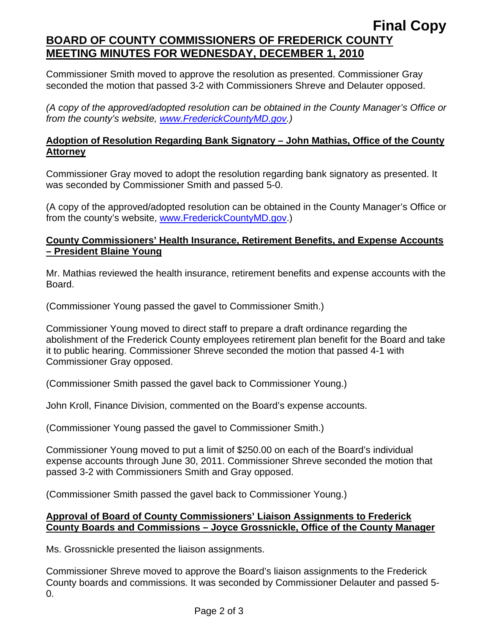# **Final Copy BOARD OF COUNTY COMMISSIONERS OF FREDERICK COUNTY MEETING MINUTES FOR WEDNESDAY, DECEMBER 1, 2010**

Commissioner Smith moved to approve the resolution as presented. Commissioner Gray seconded the motion that passed 3-2 with Commissioners Shreve and Delauter opposed.

*(A copy of the approved/adopted resolution can be obtained in the County Manager's Office or from the county's website, [www.FrederickCountyMD.gov](http://www.frederickcountymd.gov/).)* 

## **Adoption of Resolution Regarding Bank Signatory – John Mathias, Office of the County Attorney**

Commissioner Gray moved to adopt the resolution regarding bank signatory as presented. It was seconded by Commissioner Smith and passed 5-0.

(A copy of the approved/adopted resolution can be obtained in the County Manager's Office or from the county's website, [www.FrederickCountyMD.gov](http://www.frederickcountymd.gov/).)

## **County Commissioners' Health Insurance, Retirement Benefits, and Expense Accounts – President Blaine Young**

Mr. Mathias reviewed the health insurance, retirement benefits and expense accounts with the Board.

(Commissioner Young passed the gavel to Commissioner Smith.)

Commissioner Young moved to direct staff to prepare a draft ordinance regarding the abolishment of the Frederick County employees retirement plan benefit for the Board and take it to public hearing. Commissioner Shreve seconded the motion that passed 4-1 with Commissioner Gray opposed.

(Commissioner Smith passed the gavel back to Commissioner Young.)

John Kroll, Finance Division, commented on the Board's expense accounts.

(Commissioner Young passed the gavel to Commissioner Smith.)

Commissioner Young moved to put a limit of \$250.00 on each of the Board's individual expense accounts through June 30, 2011. Commissioner Shreve seconded the motion that passed 3-2 with Commissioners Smith and Gray opposed.

(Commissioner Smith passed the gavel back to Commissioner Young.)

# **Approval of Board of County Commissioners' Liaison Assignments to Frederick County Boards and Commissions – Joyce Grossnickle, Office of the County Manager**

Ms. Grossnickle presented the liaison assignments.

Commissioner Shreve moved to approve the Board's liaison assignments to the Frederick County boards and commissions. It was seconded by Commissioner Delauter and passed 5- 0.